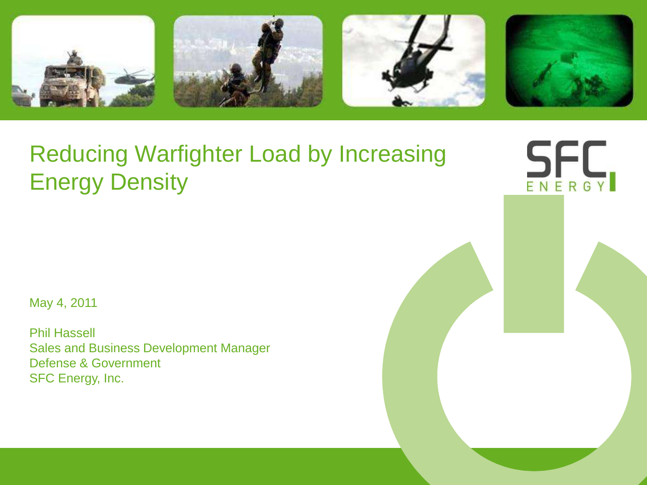







SFC

## Reducing Warfighter Load by Increasing Energy Density

May 4, 2011

Phil Hassell Sales and Business Development Manager Defense & Government SFC Energy, Inc.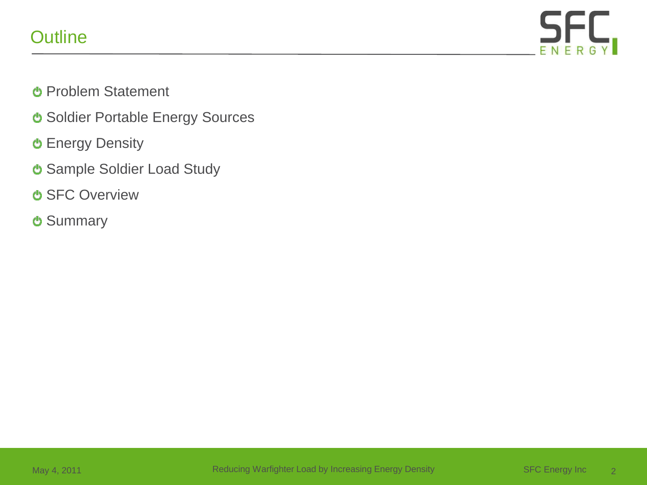## **Outline**



- Problem Statement
- **U** Soldier Portable Energy Sources
- **U** Energy Density
- Sample Soldier Load Study
- **U SFC Overview**
- **U** Summary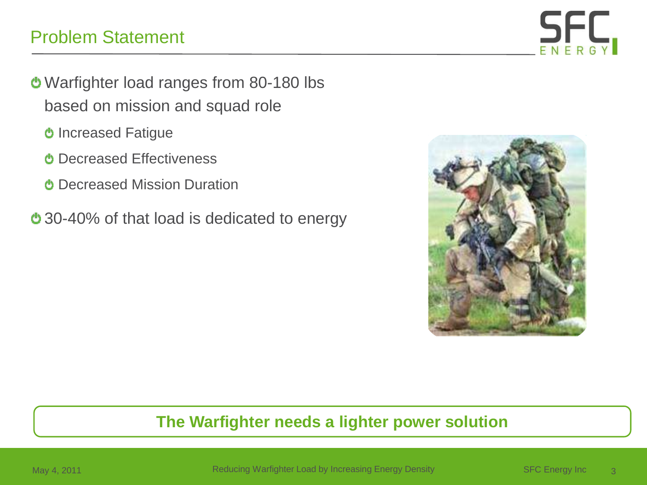## Problem Statement



- Warfighter load ranges from 80-180 lbs based on mission and squad role
	- **b** Increased Fatigue
	- **C** Decreased Effectiveness
	- **C** Decreased Mission Duration
- 30-40% of that load is dedicated to energy



#### **The Warfighter needs a lighter power solution**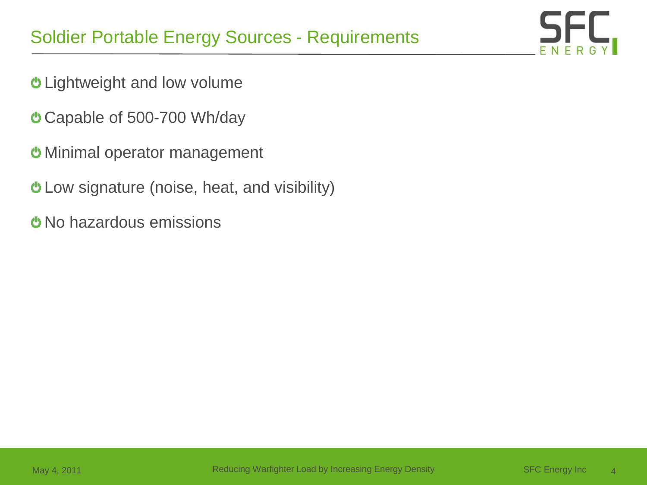

- Lightweight and low volume
- Capable of 500-700 Wh/day
- Minimal operator management
- Low signature (noise, heat, and visibility)
- **U** No hazardous emissions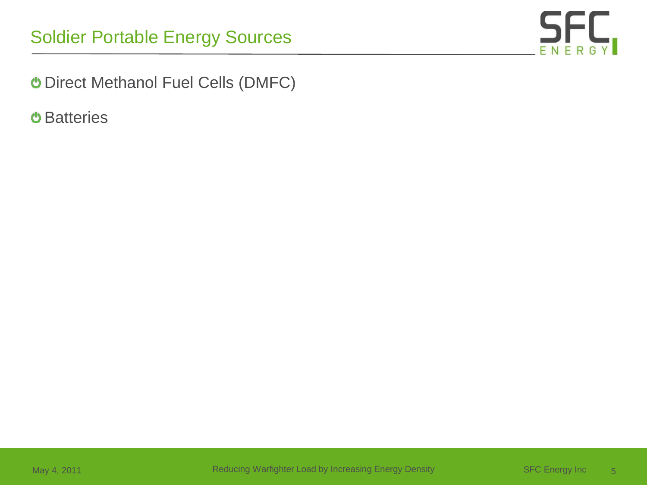

Direct Methanol Fuel Cells (DMFC)

**O** Batteries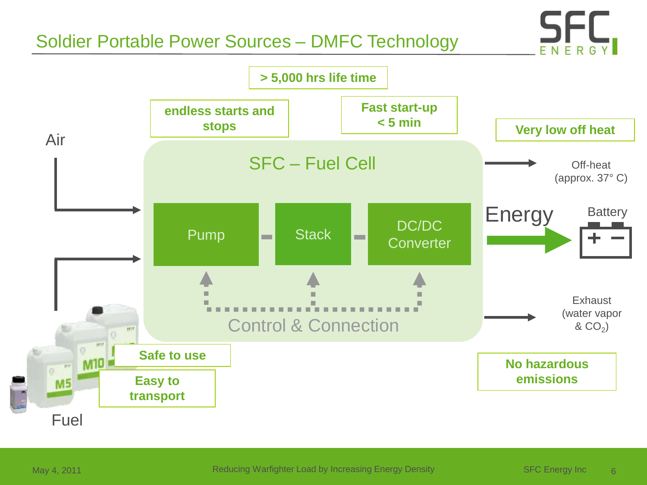## Soldier Portable Power Sources – DMFC Technology



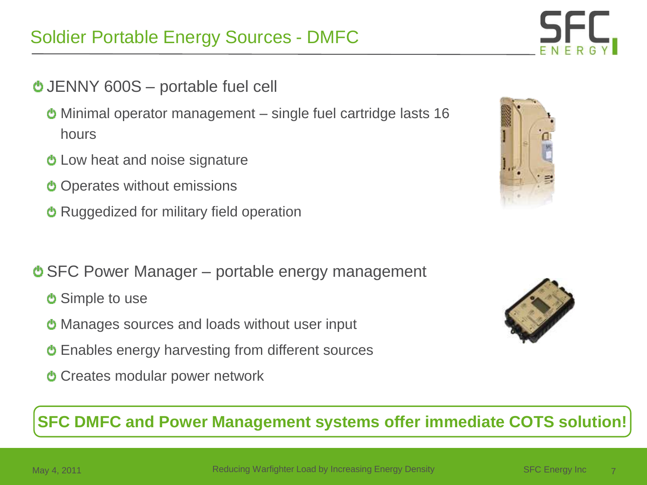## Soldier Portable Energy Sources - DMFC

- JENNY 600S portable fuel cell
	- Minimal operator management single fuel cartridge lasts 16 hours
	- **b** Low heat and noise signature
	- **O** Operates without emissions
	- **<sup>•</sup>** Ruggedized for military field operation
- SFC Power Manager portable energy management
	- **C** Simple to use
	- **U** Manages sources and loads without user input
	- Enables energy harvesting from different sources
	- **C** Creates modular power network

**SFC DMFC and Power Management systems offer immediate COTS solution!**





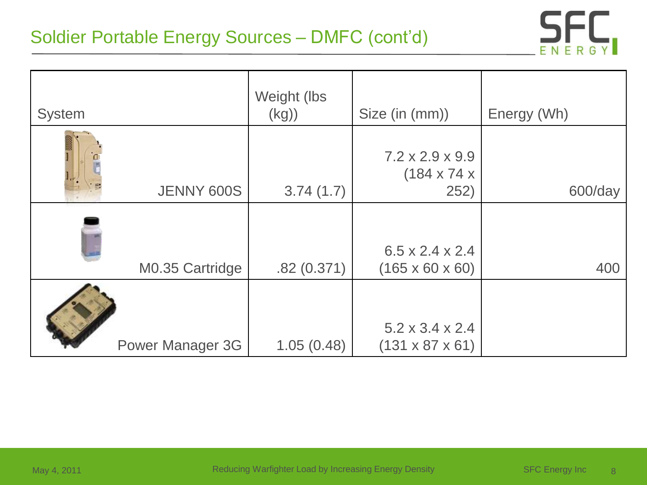## Soldier Portable Energy Sources – DMFC (cont'd)



| <b>System</b> |                         | Weight (lbs<br>(kg) | Size (in (mm))                                                 | Energy (Wh) |
|---------------|-------------------------|---------------------|----------------------------------------------------------------|-------------|
|               | JENNY 600S              | 3.74(1.7)           | $7.2 \times 2.9 \times 9.9$<br>$(184 \times 74 \times$<br>252) | 600/day     |
|               | M0.35 Cartridge         | .82(0.371)          | $6.5 \times 2.4 \times 2.4$<br>$(165 \times 60 \times 60)$     | 400         |
|               | <b>Power Manager 3G</b> | 1.05(0.48)          | $5.2 \times 3.4 \times 2.4$<br>$(131 \times 87 \times 61)$     |             |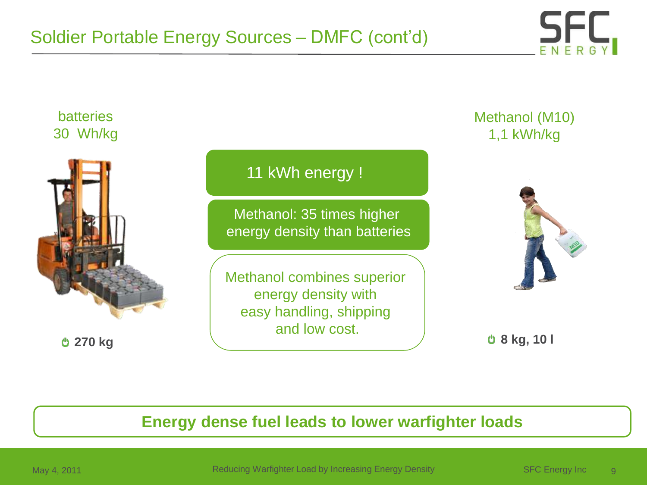



#### **Energy dense fuel leads to lower warfighter loads**

May 4, 2011 **Reducing Warfighter Load by Increasing Energy Density** SFC Energy Inc 9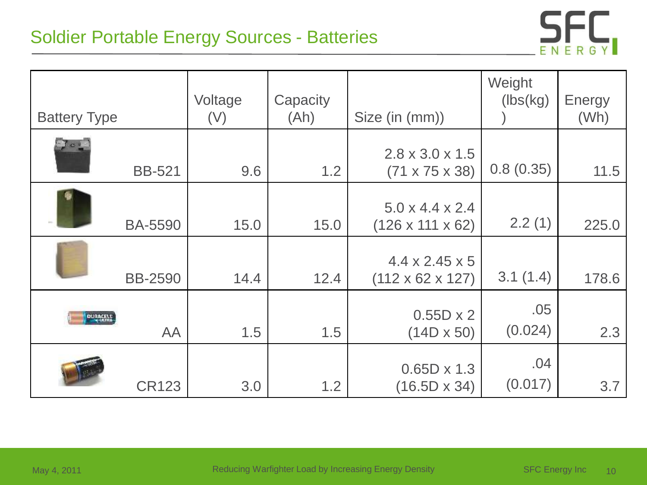## Soldier Portable Energy Sources - Batteries



| <b>Battery Type</b> |                | Voltage<br>(V) | Capacity<br>(Ah) | Size (in (mm))                                              | Weight<br>(lbs(kg)) | <b>Energy</b><br>(Wh) |
|---------------------|----------------|----------------|------------------|-------------------------------------------------------------|---------------------|-----------------------|
| $\sim$ 1            | <b>BB-521</b>  | 9.6            | 1.2              | $2.8 \times 3.0 \times 1.5$<br>$(71 \times 75 \times 38)$   | 0.8(0.35)           | 11.5                  |
|                     | <b>BA-5590</b> | 15.0           | 15.0             | $5.0 \times 4.4 \times 2.4$<br>$(126 \times 111 \times 62)$ | 2.2(1)              | 225.0                 |
|                     | <b>BB-2590</b> | 14.4           | 12.4             | $4.4 \times 2.45 \times 5$<br>$(112 \times 62 \times 127)$  | 3.1(1.4)            | 178.6                 |
| <b>DURAGELY</b>     | AA             | 1.5            | 1.5              | $0.55D \times 2$<br>$(14D \times 50)$                       | .05<br>(0.024)      | 2.3                   |
|                     | <b>CR123</b>   | 3.0            | 1.2              | $0.65D \times 1.3$<br>$(16.5D \times 34)$                   | .04<br>(0.017)      | 3.7                   |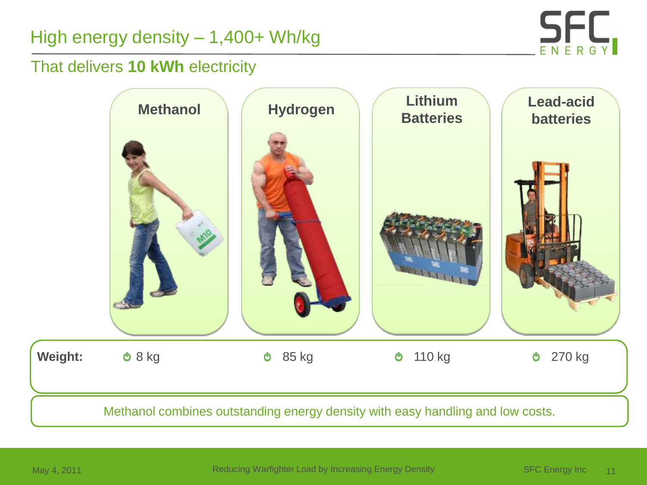## High energy density – 1,400+ Wh/kg



#### That delivers **10 kWh** electricity

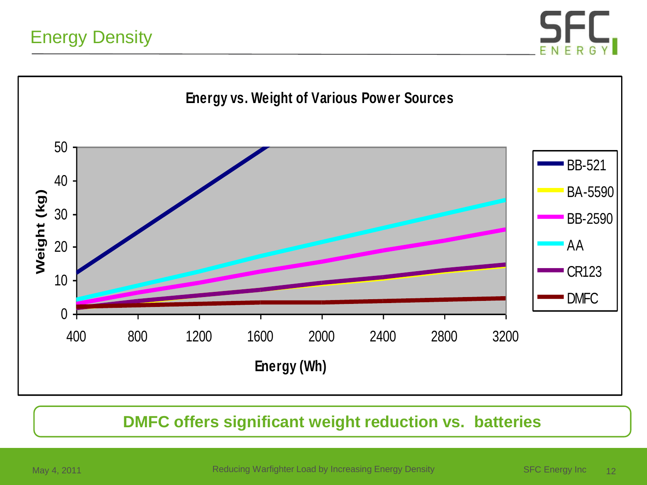



#### **DMFC offers significant weight reduction vs. batteries**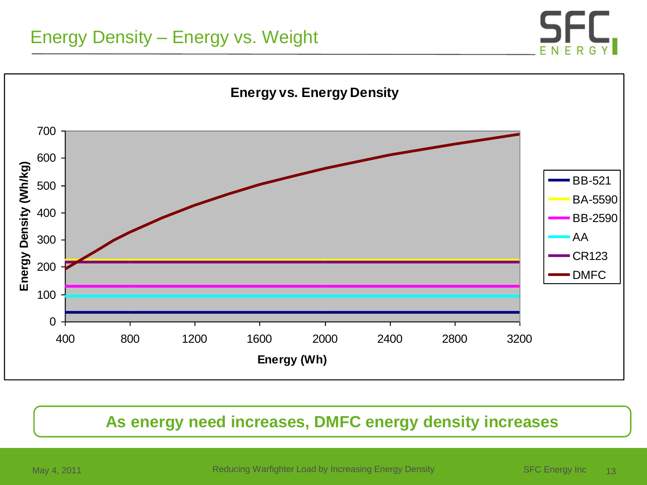## Energy Density – Energy vs. Weight





#### **As energy need increases, DMFC energy density increases**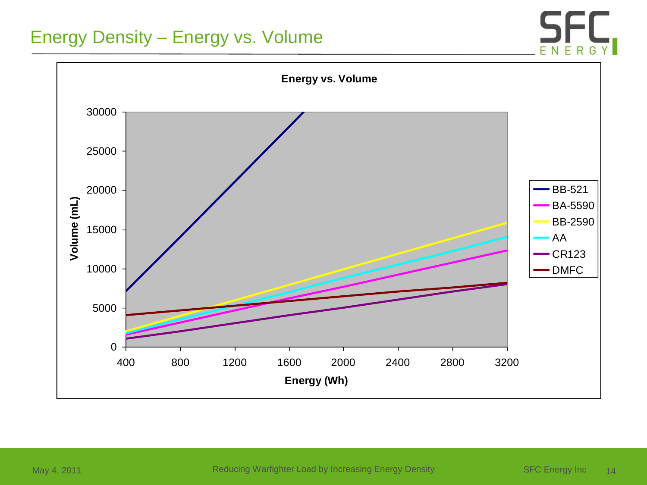#### Energy Density – Energy vs. Volume



May 4, 2011 **Reducing Warfighter Load by Increasing Energy Density** SFC Energy Inc 14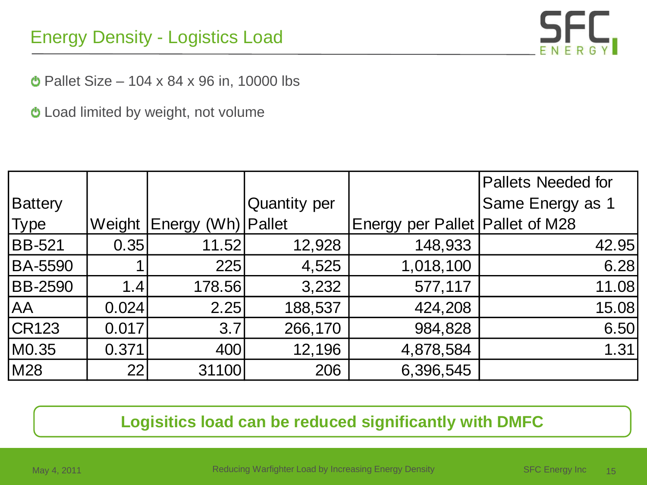## Energy Density - Logistics Load



 $\bullet$  Pallet Size – 104 x 84 x 96 in, 10000 lbs

Load limited by weight, not volume

|                |        |                      |                     |                                   | <b>Pallets Needed for</b> |
|----------------|--------|----------------------|---------------------|-----------------------------------|---------------------------|
| Battery        |        |                      | <b>Quantity per</b> |                                   | Same Energy as 1          |
| <b>Type</b>    | Weight | Energy (Wh)   Pallet |                     | Energy per Pallet   Pallet of M28 |                           |
| <b>BB-521</b>  | 0.35   | 11.52                | 12,928              | 148,933                           | 42.95                     |
| <b>BA-5590</b> |        | 225                  | 4,525               | 1,018,100                         | 6.28                      |
| <b>BB-2590</b> | 1.4    | 178.56               | 3,232               | 577,117                           | 11.08                     |
| AA             | 0.024  | 2.25                 | 188,537             | 424,208                           | 15.08                     |
| <b>CR123</b>   | 0.017  | 3.7                  | 266,170             | 984,828                           | 6.50                      |
| M0.35          | 0.371  | 400                  | 12,196              | 4,878,584                         | 1.31                      |
| M28            | 22     | 31100                | 206                 | 6,396,545                         |                           |

#### **Logisitics load can be reduced significantly with DMFC**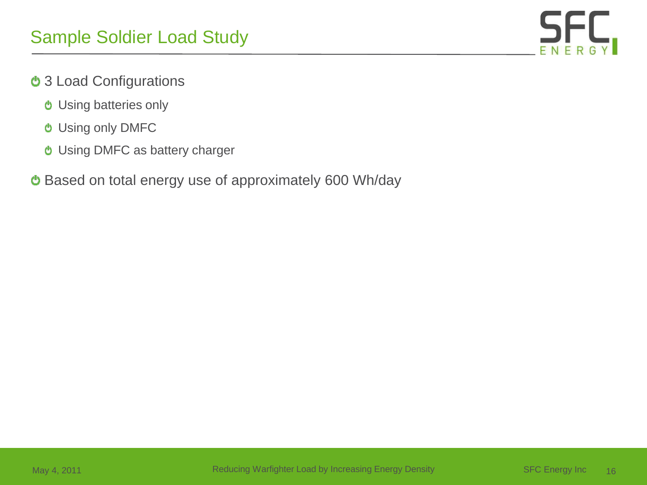

- **b** 3 Load Configurations
	- Using batteries only
	- Using only DMFC
	- Using DMFC as battery charger
- Based on total energy use of approximately 600 Wh/day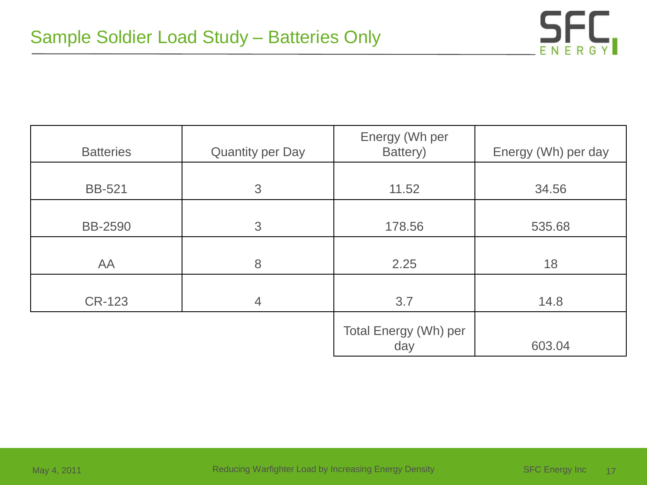

| <b>Batteries</b> | <b>Quantity per Day</b> | Energy (Wh per<br>Battery)   | Energy (Wh) per day |
|------------------|-------------------------|------------------------------|---------------------|
| <b>BB-521</b>    | 3                       | 11.52                        | 34.56               |
| <b>BB-2590</b>   | 3                       | 178.56                       | 535.68              |
| AA               | 8                       | 2.25                         | 18                  |
| <b>CR-123</b>    | $\overline{4}$          | 3.7                          | 14.8                |
|                  |                         | Total Energy (Wh) per<br>day | 603.04              |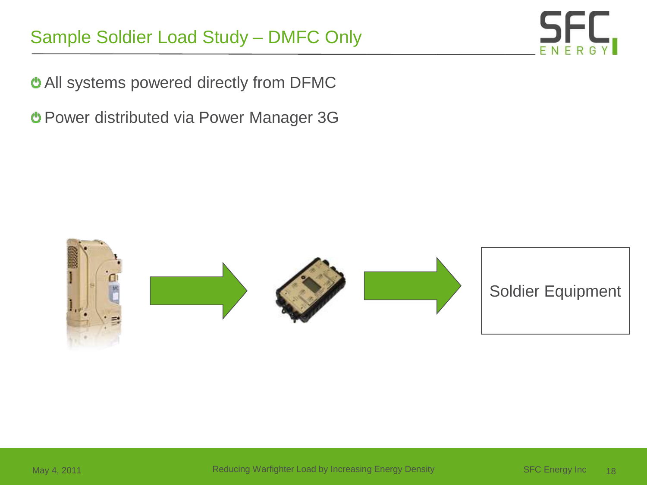## Sample Soldier Load Study – DMFC Only

All systems powered directly from DFMC

Power distributed via Power Manager 3G

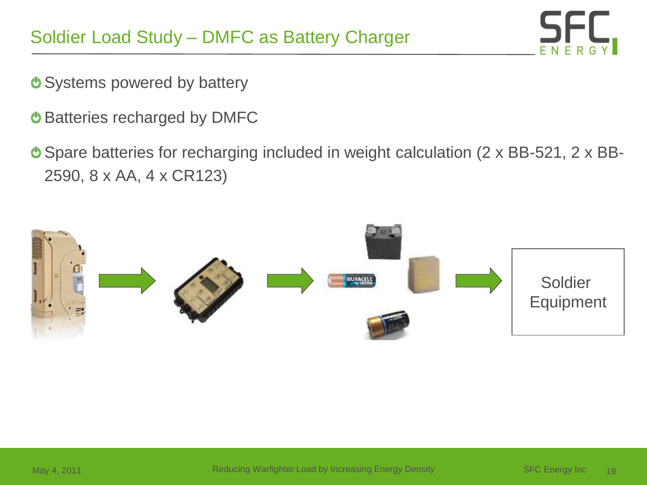

- O Systems powered by battery
- Batteries recharged by DMFC
- Spare batteries for recharging included in weight calculation (2 x BB-521, 2 x BB-2590, 8 x AA, 4 x CR123)

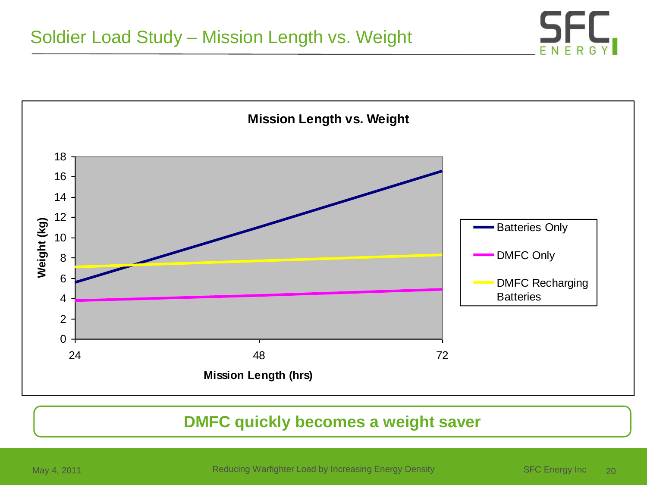

#### **DMFC quickly becomes a weight saver**

May 4, 2011 **Reducing Warfighter Load by Increasing Energy Density** SFC Energy Inc 20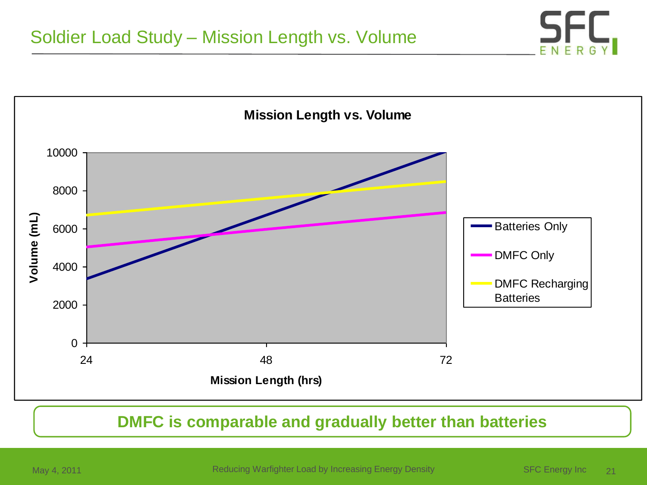



#### **DMFC is comparable and gradually better than batteries**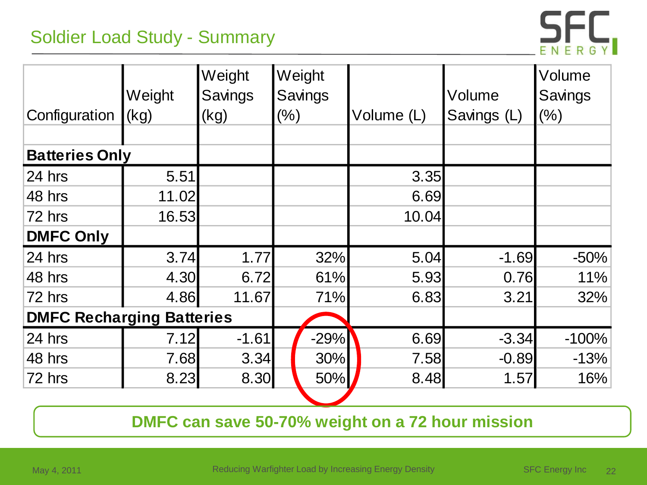## Soldier Load Study - Summary



| Configuration                    | Weight<br>(kg) | Weight<br>Savings<br>(kg) | Weight<br>(% ) | Savings | Volume (L) | Volume<br>Savings (L) | Volume<br>Savings<br>$(\%)$ |
|----------------------------------|----------------|---------------------------|----------------|---------|------------|-----------------------|-----------------------------|
| <b>Batteries Only</b>            |                |                           |                |         |            |                       |                             |
| 24 hrs                           | 5.51           |                           |                |         | 3.35       |                       |                             |
| 48 hrs                           | 11.02          |                           |                |         | 6.69       |                       |                             |
| 72 hrs                           | 16.53          |                           |                |         | 10.04      |                       |                             |
| <b>DMFC Only</b>                 |                |                           |                |         |            |                       |                             |
| 24 hrs                           | 3.74           | 1.77                      |                | 32%     | 5.04       | $-1.69$               | $-50%$                      |
| 48 hrs                           | 4.30           | 6.72                      |                | 61%     | 5.93       | 0.76                  | 11%                         |
| 72 hrs                           | 4.86           | 11.67                     |                | 71%     | 6.83       | 3.21                  | 32%                         |
| <b>DMFC Recharging Batteries</b> |                |                           |                |         |            |                       |                             |
| 24 hrs                           | 7.12           | $-1.61$                   |                | $-29%$  | 6.69       | $-3.34$               | $-100%$                     |
| 48 hrs                           | 7.68           | 3.34                      |                | 30%     | 7.58       | $-0.89$               | $-13%$                      |
| 72 hrs                           | 8.23           | 8.30                      |                | 50%     | 8.48       | 1.57                  | 16%                         |

**DMFC can save 50-70% weight on a 72 hour mission**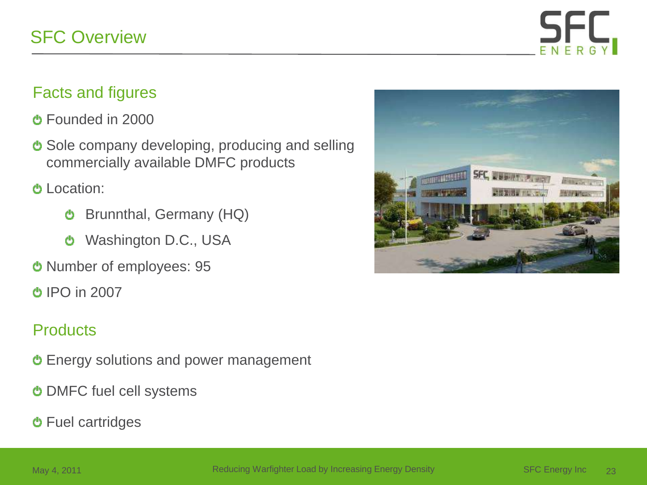

#### Facts and figures

- Founded in 2000
- **U** Sole company developing, producing and selling commercially available DMFC products
- Location:
	- Brunnthal, Germany (HQ) O
	- Washington D.C., USA ტ
- Number of employees: 95
- IPO in 2007

#### **Products**

- Energy solutions and power management
- **b** DMFC fuel cell systems
- Fuel cartridges

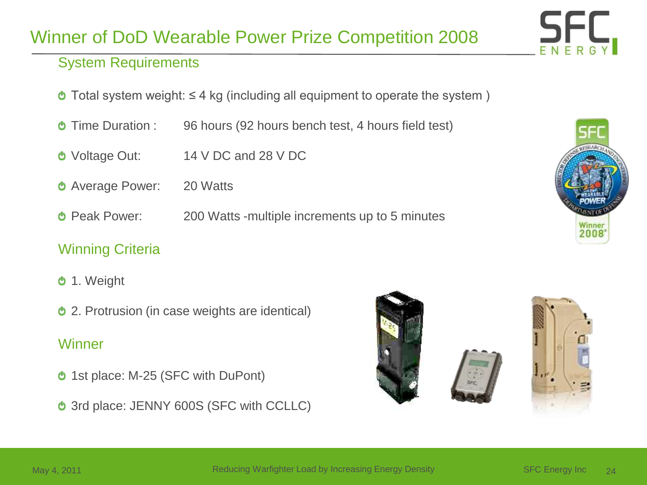## Winner of DoD Wearable Power Prize Competition 2008

#### System Requirements

- $\bullet$  Total system weight: ≤ 4 kg (including all equipment to operate the system )
- **Time Duration : 96 hours (92 hours bench test, 4 hours field test)**
- Voltage Out: 14 V DC and 28 V DC
- **b** Average Power: 20 Watts
- **Theoret Power:** 200 Watts -multiple increments up to 5 minutes

#### Winning Criteria

- 1. Weight
- 2. Protrusion (in case weights are identical)

#### **Winner**

- **b** 1st place: M-25 (SFC with DuPont)
- **b** 3rd place: JENNY 600S (SFC with CCLLC)







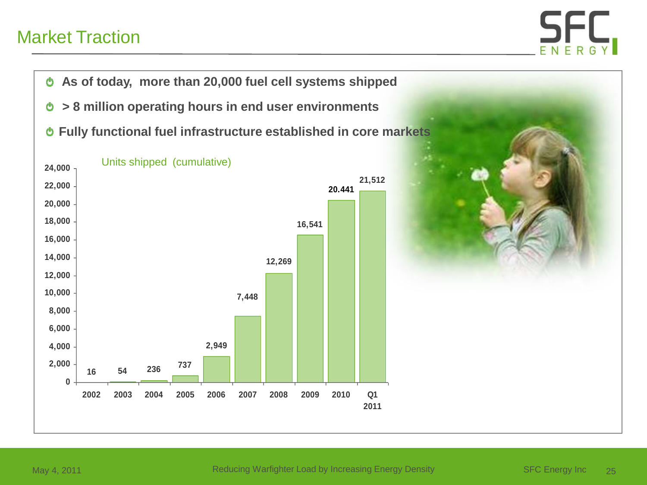## Market Traction



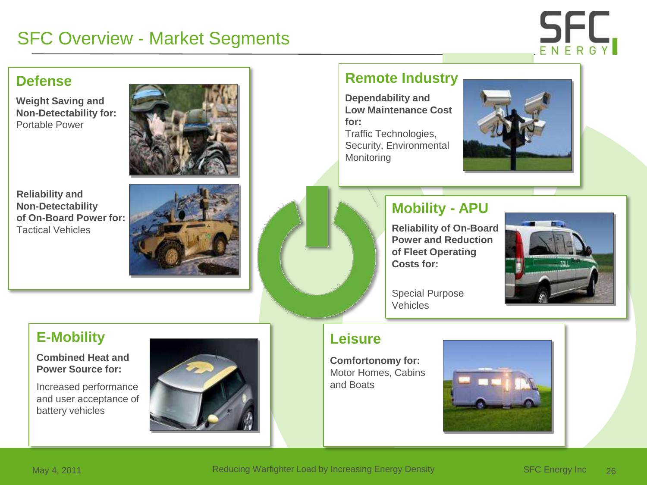## SFC Overview - Market Segments



#### **Defense**

**Weight Saving and Non-Detectability for:** Portable Power



**Reliability and Non-Detectability of On-Board Power for:** Tactical Vehicles



#### **Remote Industry**

**Dependability and Low Maintenance Cost for:** Traffic Technologies, Security, Environmental **Monitoring** 



#### **Mobility - APU**

**Reliability of On-Board Power and Reduction of Fleet Operating Costs for:**



Special Purpose Vehicles

#### **E-Mobility**

**Combined Heat and Power Source for:**

Increased performance and user acceptance of battery vehicles



#### **Leisure**

**Comfortonomy for:** Motor Homes, Cabins and Boats

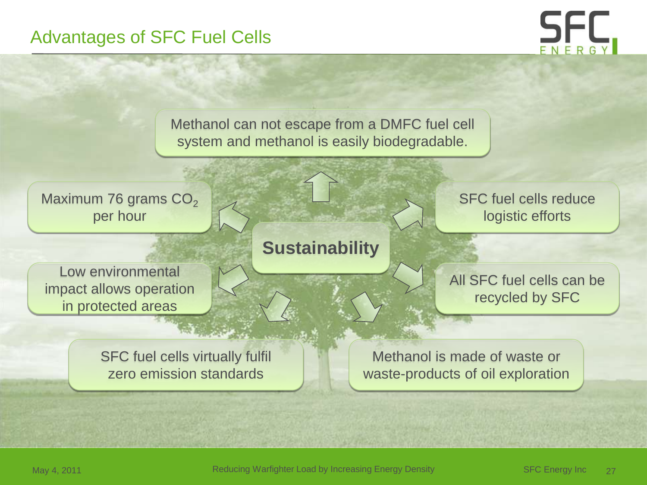#### Advantages of SFC Fuel Cells



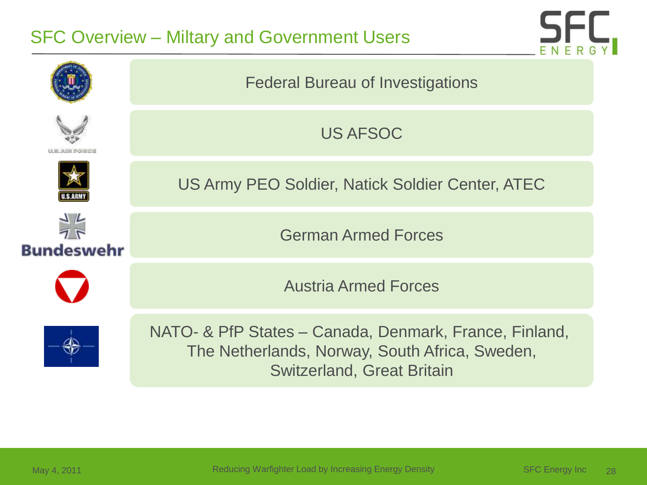## SFC Overview – Miltary and Government Users



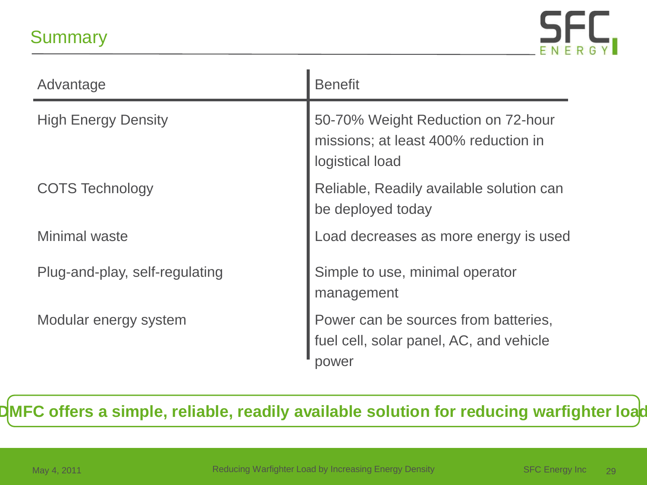## **Summary**



| Advantage                      | <b>Benefit</b>                                                                                |
|--------------------------------|-----------------------------------------------------------------------------------------------|
| <b>High Energy Density</b>     | 50-70% Weight Reduction on 72-hour<br>missions; at least 400% reduction in<br>logistical load |
| <b>COTS Technology</b>         | Reliable, Readily available solution can<br>be deployed today                                 |
| <b>Minimal waste</b>           | Load decreases as more energy is used                                                         |
| Plug-and-play, self-regulating | Simple to use, minimal operator<br>management                                                 |
| Modular energy system          | Power can be sources from batteries,<br>fuel cell, solar panel, AC, and vehicle<br>power      |

**DMFC offers a simple, reliable, readily available solution for reducing warfighter load**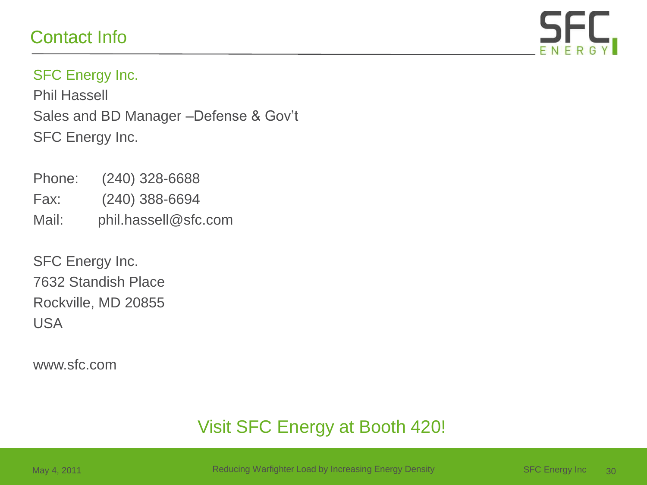## Contact Info



#### SFC Energy Inc.

Phil Hassell Sales and BD Manager –Defense & Gov't SFC Energy Inc.

- Phone: (240) 328-6688 Fax: (240) 388-6694 Mail: phil.hassell@sfc.com
- SFC Energy Inc. 7632 Standish Place Rockville, MD 20855 USA

www.sfc.com

## Visit SFC Energy at Booth 420!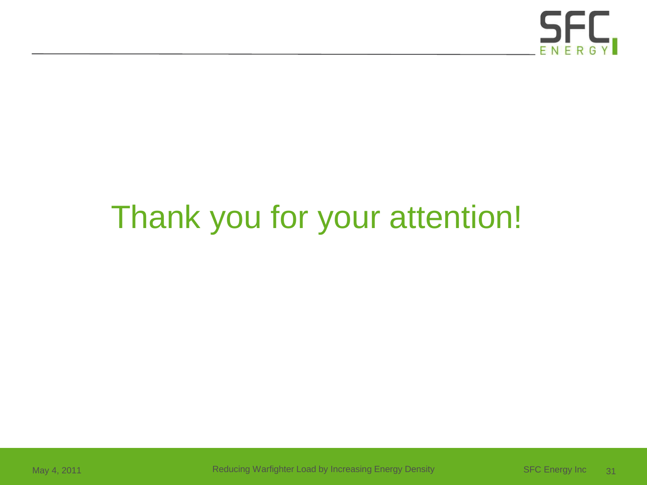

# Thank you for your attention!